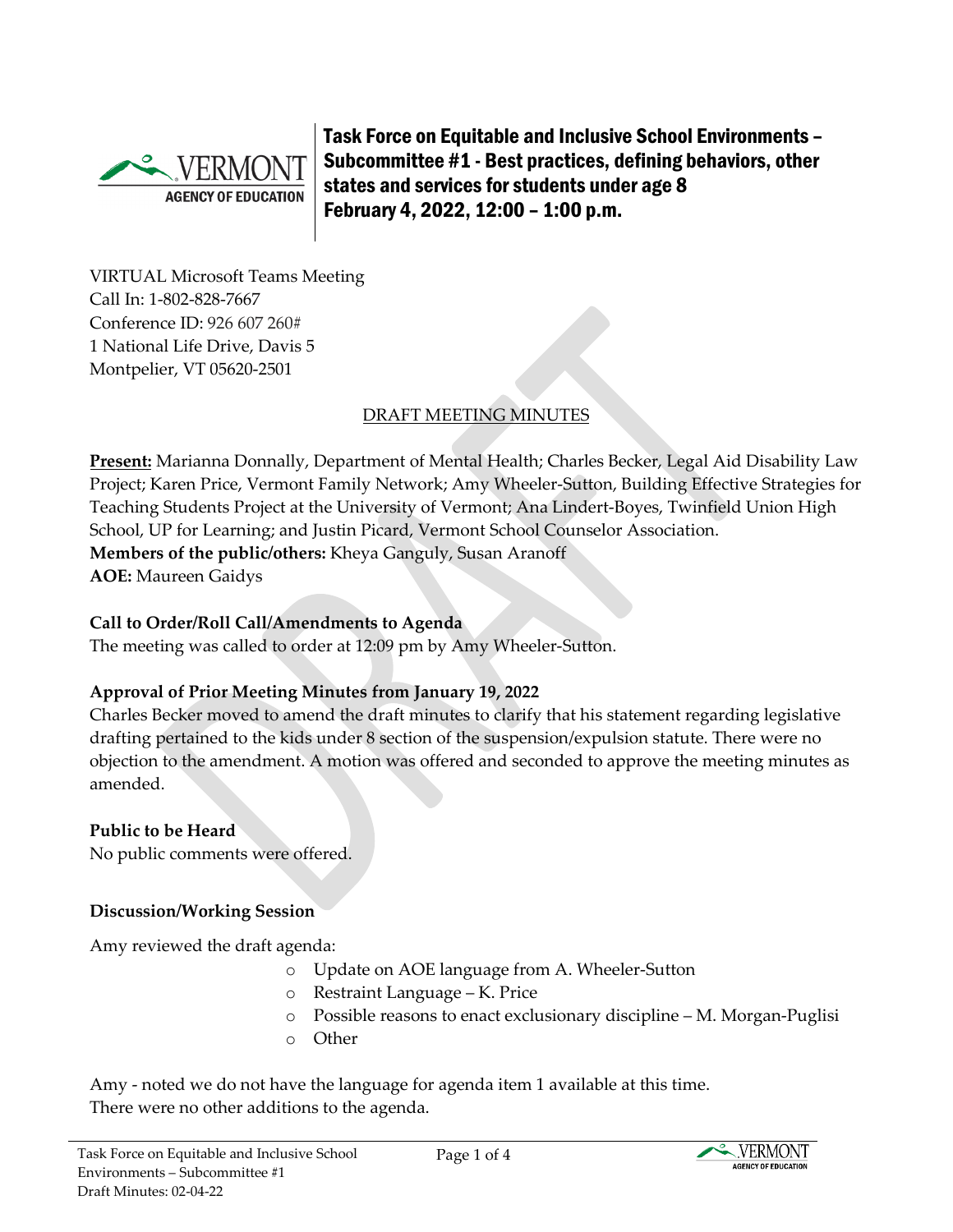

Task Force on Equitable and Inclusive School Environments – Subcommittee #1 - Best practices, defining behaviors, other states and services for students under age 8 February 4, 2022, 12:00 – 1:00 p.m.

VIRTUAL Microsoft Teams Meeting Call In: [1-802-828-7667](about:blank)  Conference ID: 926 607 260# 1 National Life Drive, Davis 5 Montpelier, VT 05620-2501

## DRAFT MEETING MINUTES

**Present:** Marianna Donnally, Department of Mental Health; Charles Becker, Legal Aid Disability Law Project; Karen Price, Vermont Family Network; Amy Wheeler-Sutton, Building Effective Strategies for Teaching Students Project at the University of Vermont; Ana Lindert-Boyes, Twinfield Union High School, UP for Learning; and Justin Picard, Vermont School Counselor Association. **Members of the public/others:** Kheya Ganguly, Susan Aranoff

**AOE:** Maureen Gaidys

#### **Call to Order/Roll Call/Amendments to Agenda**

The meeting was called to order at 12:09 pm by Amy Wheeler-Sutton.

### **Approval of Prior Meeting Minutes from January 19, 2022**

Charles Becker moved to amend the draft minutes to clarify that his statement regarding legislative drafting pertained to the kids under 8 section of the suspension/expulsion statute. There were no objection to the amendment. A motion was offered and seconded to approve the meeting minutes as amended.

### **Public to be Heard**

No public comments were offered.

#### **Discussion/Working Session**

Amy reviewed the draft agenda:

- o Update on AOE language from A. Wheeler-Sutton
- o Restraint Language K. Price
- o Possible reasons to enact exclusionary discipline M. Morgan-Puglisi
- o Other

Amy - noted we do not have the language for agenda item 1 available at this time. There were no other additions to the agenda.

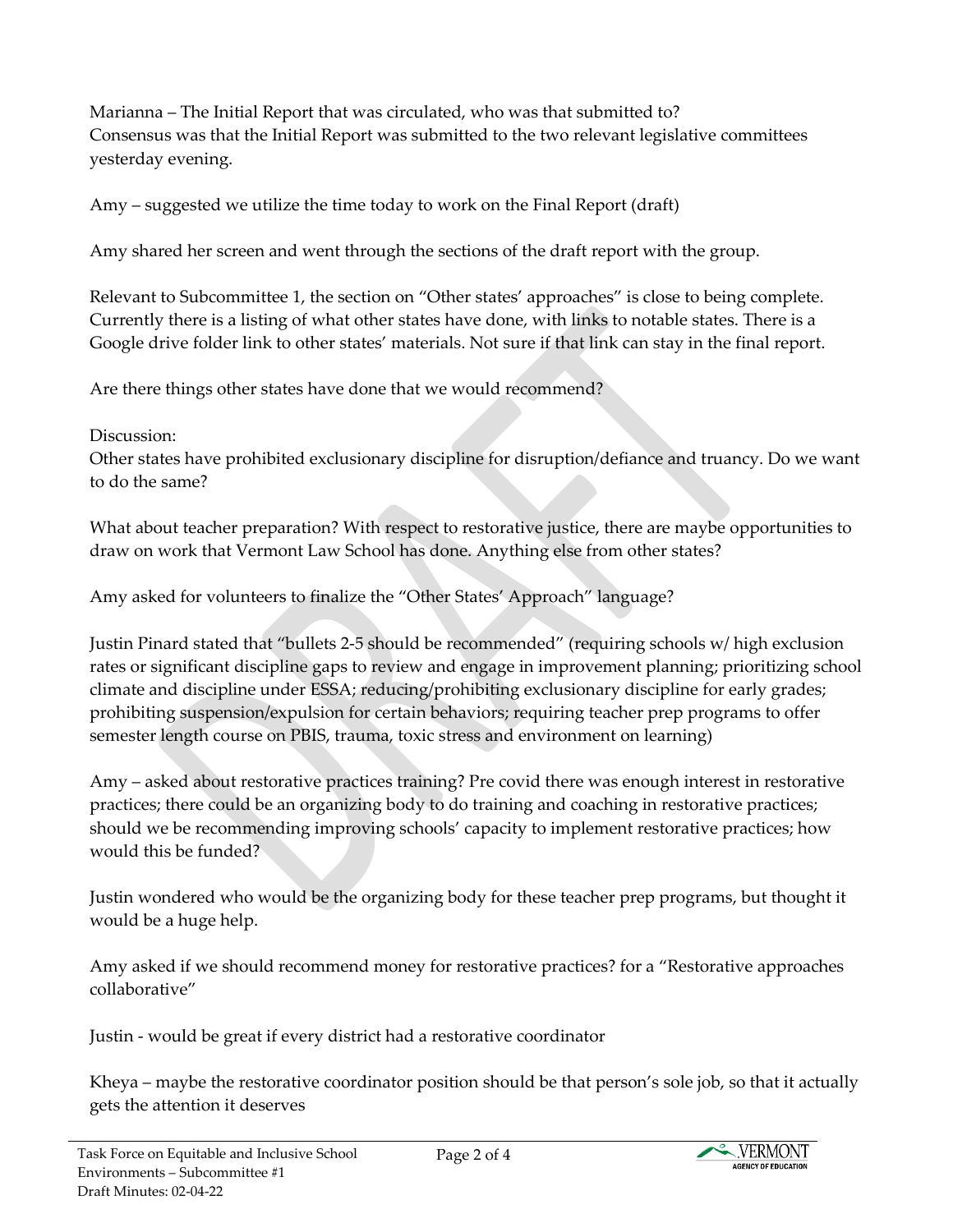Marianna – The Initial Report that was circulated, who was that submitted to? Consensus was that the Initial Report was submitted to the two relevant legislative committees yesterday evening.

Amy – suggested we utilize the time today to work on the Final Report (draft)

Amy shared her screen and went through the sections of the draft report with the group.

Relevant to Subcommittee 1, the section on "Other states' approaches" is close to being complete. Currently there is a listing of what other states have done, with links to notable states. There is a Google drive folder link to other states' materials. Not sure if that link can stay in the final report.

Are there things other states have done that we would recommend?

Discussion:

Other states have prohibited exclusionary discipline for disruption/defiance and truancy. Do we want to do the same?

What about teacher preparation? With respect to restorative justice, there are maybe opportunities to draw on work that Vermont Law School has done. Anything else from other states?

Amy asked for volunteers to finalize the "Other States' Approach" language?

Justin Pinard stated that "bullets 2-5 should be recommended" (requiring schools w/ high exclusion rates or significant discipline gaps to review and engage in improvement planning; prioritizing school climate and discipline under ESSA; reducing/prohibiting exclusionary discipline for early grades; prohibiting suspension/expulsion for certain behaviors; requiring teacher prep programs to offer semester length course on PBIS, trauma, toxic stress and environment on learning)

Amy – asked about restorative practices training? Pre covid there was enough interest in restorative practices; there could be an organizing body to do training and coaching in restorative practices; should we be recommending improving schools' capacity to implement restorative practices; how would this be funded?

Justin wondered who would be the organizing body for these teacher prep programs, but thought it would be a huge help.

Amy asked if we should recommend money for restorative practices? for a "Restorative approaches collaborative"

Justin - would be great if every district had a restorative coordinator

Kheya – maybe the restorative coordinator position should be that person's sole job, so that it actually gets the attention it deserves

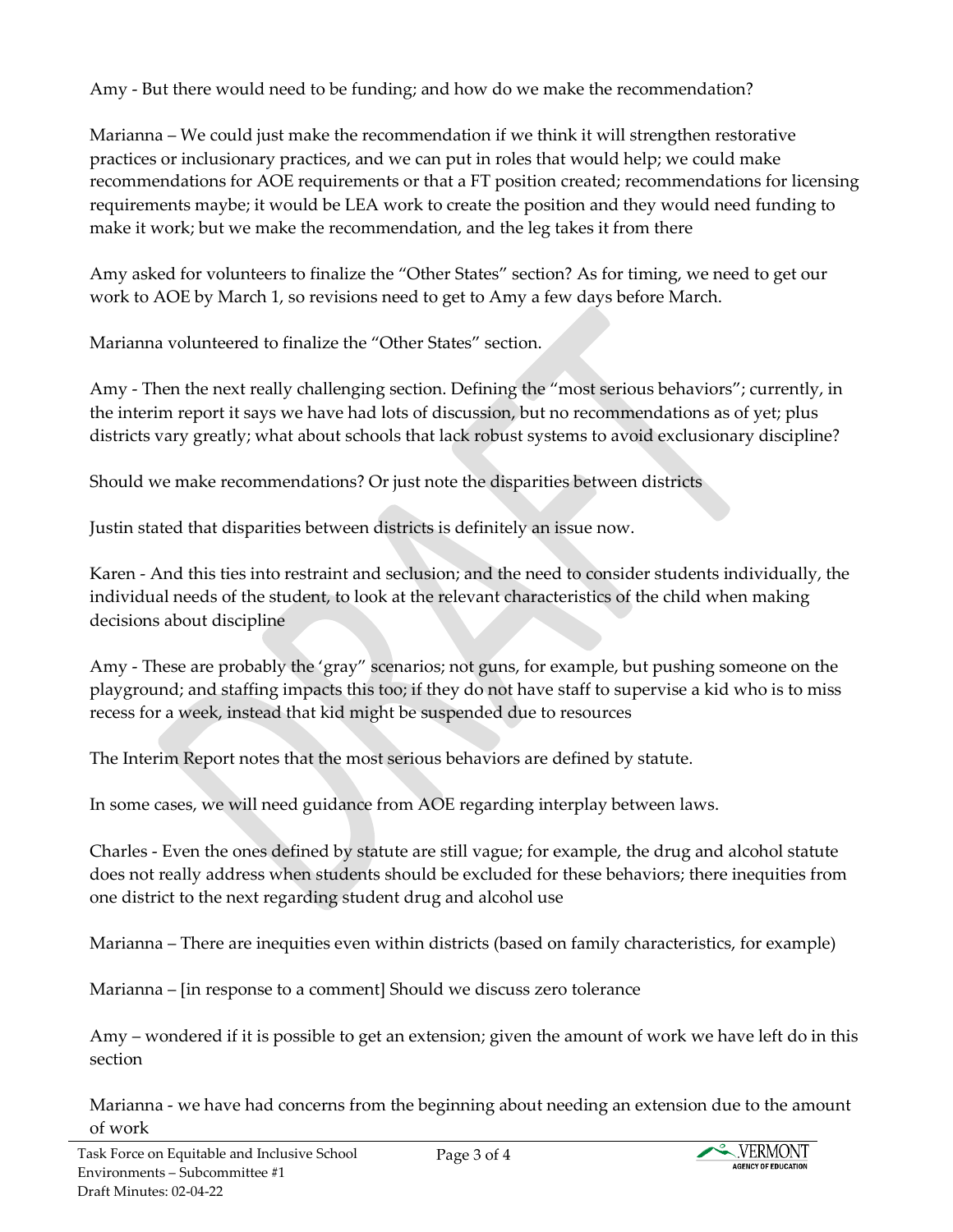Amy - But there would need to be funding; and how do we make the recommendation?

Marianna – We could just make the recommendation if we think it will strengthen restorative practices or inclusionary practices, and we can put in roles that would help; we could make recommendations for AOE requirements or that a FT position created; recommendations for licensing requirements maybe; it would be LEA work to create the position and they would need funding to make it work; but we make the recommendation, and the leg takes it from there

Amy asked for volunteers to finalize the "Other States" section? As for timing, we need to get our work to AOE by March 1, so revisions need to get to Amy a few days before March.

Marianna volunteered to finalize the "Other States" section.

Amy - Then the next really challenging section. Defining the "most serious behaviors"; currently, in the interim report it says we have had lots of discussion, but no recommendations as of yet; plus districts vary greatly; what about schools that lack robust systems to avoid exclusionary discipline?

Should we make recommendations? Or just note the disparities between districts

Justin stated that disparities between districts is definitely an issue now.

Karen - And this ties into restraint and seclusion; and the need to consider students individually, the individual needs of the student, to look at the relevant characteristics of the child when making decisions about discipline

Amy - These are probably the 'gray" scenarios; not guns, for example, but pushing someone on the playground; and staffing impacts this too; if they do not have staff to supervise a kid who is to miss recess for a week, instead that kid might be suspended due to resources

The Interim Report notes that the most serious behaviors are defined by statute.

In some cases, we will need guidance from AOE regarding interplay between laws.

Charles - Even the ones defined by statute are still vague; for example, the drug and alcohol statute does not really address when students should be excluded for these behaviors; there inequities from one district to the next regarding student drug and alcohol use

Marianna – There are inequities even within districts (based on family characteristics, for example)

Marianna – [in response to a comment] Should we discuss zero tolerance

Amy – wondered if it is possible to get an extension; given the amount of work we have left do in this section

Marianna - we have had concerns from the beginning about needing an extension due to the amount of work